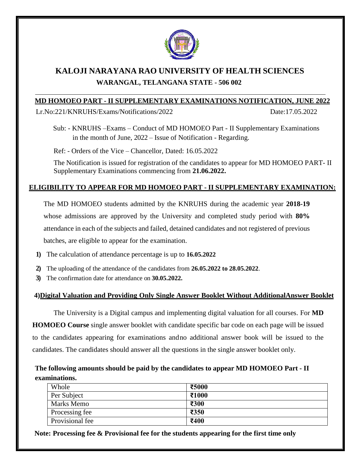

# **KALOJI NARAYANA RAO UNIVERSITY OF HEALTH SCIENCES WARANGAL, TELANGANA STATE - 506 002**

#### **MD HOMOEO PART - II SUPPLEMENTARY EXAMINATIONS NOTIFICATION, JUNE 2022**

Lr.No:221/KNRUHS/Exams/Notifications/2022 Date:17.05.2022

Sub: - KNRUHS –Exams – Conduct of MD HOMOEO Part - II Supplementary Examinations in the month of June, 2022 – Issue of Notification - Regarding.

Ref: - Orders of the Vice – Chancellor, Dated: 16.05.2022

The Notification is issued for registration of the candidates to appear for MD HOMOEO PART- II Supplementary Examinations commencing from **21.06.2022.**

## **ELIGIBILITY TO APPEAR FOR MD HOMOEO PART - II SUPPLEMENTARY EXAMINATION:**

The MD HOMOEO students admitted by the KNRUHS during the academic year **2018-19** whose admissions are approved by the University and completed study period with **80%** attendance in each of the subjects and failed, detained candidates and not registered of previous batches, are eligible to appear for the examination.

- **1)** The calculation of attendance percentage is up to **16.05.2022**
- **2)** The uploading of the attendance of the candidates from **26.05.2022 to 28.05.2022**.
- **3)** The confirmation date for attendance on **30.05.2022.**

## **4)Digital Valuation and Providing Only Single Answer Booklet Without AdditionalAnswer Booklet**

The University is a Digital campus and implementing digital valuation for all courses. For **MD HOMOEO Course** single answer booklet with candidate specific bar code on each page will be issued to the candidates appearing for examinations andno additional answer book will be issued to the candidates. The candidates should answer all the questions in the single answer booklet only.

# **The following amounts should be paid by the candidates to appear MD HOMOEO Part - II examinations.**

| Whole             | ₹5000 |
|-------------------|-------|
| Per Subject       | ₹1000 |
| <b>Marks Memo</b> | ₹300  |
| Processing fee    | ₹350  |
| Provisional fee   | ₹400  |

**Note: Processing fee & Provisional fee for the students appearing for the first time only**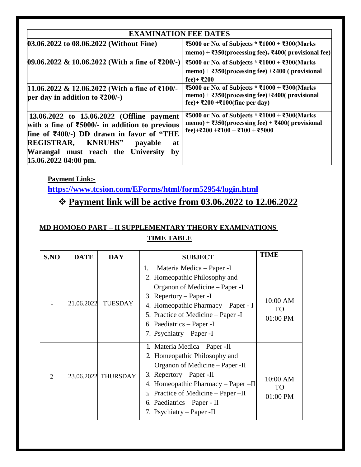| <b>EXAMINATION FEE DATES</b>                                                                                                                                                                                                                                                                            |                                                                                                                                                                            |  |  |  |
|---------------------------------------------------------------------------------------------------------------------------------------------------------------------------------------------------------------------------------------------------------------------------------------------------------|----------------------------------------------------------------------------------------------------------------------------------------------------------------------------|--|--|--|
| 03.06.2022 to 08.06.2022 (Without Fine)                                                                                                                                                                                                                                                                 | ₹5000 or No. of Subjects * ₹1000 + ₹300(Marks<br>memo) + $\overline{\text{350}}$ (processing fee) <sub>+</sub> $\overline{\text{400}}$ (provisional fee)                   |  |  |  |
| $[09.06.2022 \& 10.06.2022$ (With a fine of ₹200/-)                                                                                                                                                                                                                                                     | ₹5000 or No. of Subjects * ₹1000 + ₹300(Marks<br>memo) + $\overline{\text{350}}$ (processing fee) + $\overline{\text{400}}$ (provisional<br>fee)+ ₹200                     |  |  |  |
| 11.06.2022 & 12.06.2022 (With a fine of ₹100/-<br>per day in addition to ₹200/-)                                                                                                                                                                                                                        | ₹5000 or No. of Subjects * ₹1000 + ₹300(Marks<br>memo) + $\overline{\text{350}}$ (processing fee)+ $\overline{\text{400}}$ (provisional<br>fee)+ ₹200 +₹100(fine per day)  |  |  |  |
| 13.06.2022 to 15.06.2022 (Offline payment<br>with a fine of $\text{\textsterling}5000/-$ in addition to previous<br>fine of $\text{\textsterling}400/-$ ) DD drawn in favor of "THE<br><b>REGISTRAR, KNRUHS"</b><br>payable<br>at<br>Warangal must reach the University<br>by<br>$15.06.2022$ 04:00 pm. | ₹5000 or No. of Subjects * ₹1000 + ₹300(Marks<br>memo) + $\overline{\text{350}}$ (processing fee) + $\overline{\text{400}}$ (provisional<br>fee)+₹200 +₹100 + ₹100 + ₹5000 |  |  |  |

**Payment Link:-**

**<https://www.tcsion.com/EForms/html/form52954/login.html>**

# ❖ **Payment link will be active from 03.06.2022 to 12.06.2022**

# **MD HOMOEO PART – II SUPPLEMENTARY THEORY EXAMINATIONS TIME TABLE**

| S.NO                        | <b>DATE</b> | <b>DAY</b>          | <b>SUBJECT</b>                                                                                                                                                                                                                                                                           | <b>TIME</b>                  |
|-----------------------------|-------------|---------------------|------------------------------------------------------------------------------------------------------------------------------------------------------------------------------------------------------------------------------------------------------------------------------------------|------------------------------|
|                             | 21.06.2022  | <b>TUESDAY</b>      | Materia Medica – Paper -I<br>1.<br>2. Homeopathic Philosophy and<br>Organon of Medicine – Paper -I<br>3. Repertory – Paper -I<br>4. Homeopathic Pharmacy – Paper - I<br>5. Practice of Medicine – Paper -I<br>6. Paediatrics – Paper - I<br>7. Psychiatry – Paper - I                    | 10:00 AM<br>TО<br>01:00 PM   |
| $\mathcal{D}_{\mathcal{L}}$ |             | 23.06.2022 THURSDAY | 1. Materia Medica – Paper - II<br>2. Homeopathic Philosophy and<br>Organon of Medicine – Paper - II<br>Repertory – Paper -II<br>3.<br>Homeopathic Pharmacy $-$ Paper $-II$<br>4.<br>5. Practice of Medicine – Paper – II<br>Paediatrics – Paper - II<br>6.<br>7. Psychiatry – Paper - II | 10:00 AM<br>TO<br>$01:00$ PM |